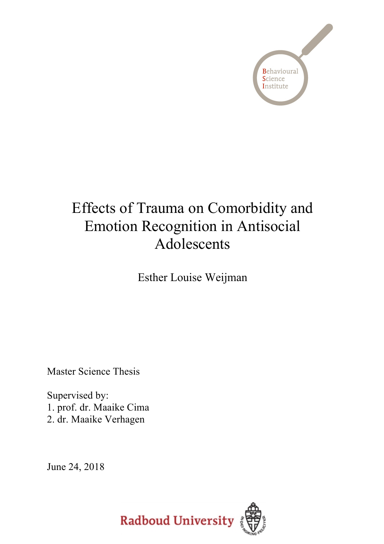

# Effects of Trauma on Comorbidity and Emotion Recognition in Antisocial Adolescents

Esther Louise Weijman

Master Science Thesis

Supervised by: 1. prof. dr. Maaike Cima 2. dr. Maaike Verhagen

June 24, 2018

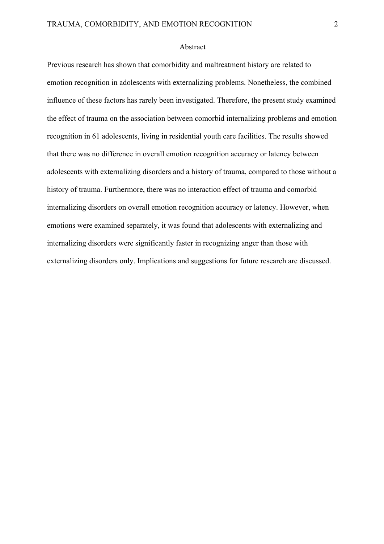#### Abstract

Previous research has shown that comorbidity and maltreatment history are related to emotion recognition in adolescents with externalizing problems. Nonetheless, the combined influence of these factors has rarely been investigated. Therefore, the present study examined the effect of trauma on the association between comorbid internalizing problems and emotion recognition in 61 adolescents, living in residential youth care facilities. The results showed that there was no difference in overall emotion recognition accuracy or latency between adolescents with externalizing disorders and a history of trauma, compared to those without a history of trauma. Furthermore, there was no interaction effect of trauma and comorbid internalizing disorders on overall emotion recognition accuracy or latency. However, when emotions were examined separately, it was found that adolescents with externalizing and internalizing disorders were significantly faster in recognizing anger than those with externalizing disorders only. Implications and suggestions for future research are discussed.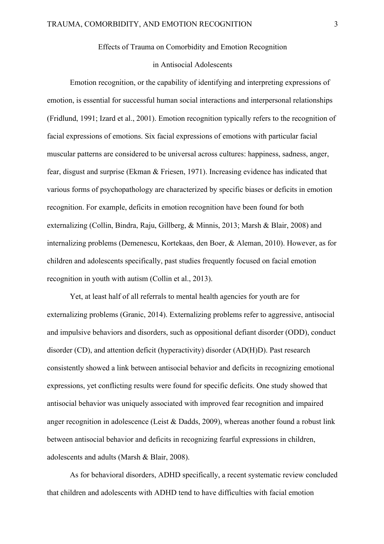## Effects of Trauma on Comorbidity and Emotion Recognition

#### in Antisocial Adolescents

Emotion recognition, or the capability of identifying and interpreting expressions of emotion, is essential for successful human social interactions and interpersonal relationships (Fridlund, 1991; Izard et al., 2001). Emotion recognition typically refers to the recognition of facial expressions of emotions. Six facial expressions of emotions with particular facial muscular patterns are considered to be universal across cultures: happiness, sadness, anger, fear, disgust and surprise (Ekman & Friesen, 1971). Increasing evidence has indicated that various forms of psychopathology are characterized by specific biases or deficits in emotion recognition. For example, deficits in emotion recognition have been found for both externalizing (Collin, Bindra, Raju, Gillberg, & Minnis, 2013; Marsh & Blair, 2008) and internalizing problems (Demenescu, Kortekaas, den Boer, & Aleman, 2010). However, as for children and adolescents specifically, past studies frequently focused on facial emotion recognition in youth with autism (Collin et al., 2013).

Yet, at least half of all referrals to mental health agencies for youth are for externalizing problems (Granic, 2014). Externalizing problems refer to aggressive, antisocial and impulsive behaviors and disorders, such as oppositional defiant disorder (ODD), conduct disorder (CD), and attention deficit (hyperactivity) disorder (AD(H)D). Past research consistently showed a link between antisocial behavior and deficits in recognizing emotional expressions, yet conflicting results were found for specific deficits. One study showed that antisocial behavior was uniquely associated with improved fear recognition and impaired anger recognition in adolescence (Leist & Dadds, 2009), whereas another found a robust link between antisocial behavior and deficits in recognizing fearful expressions in children, adolescents and adults (Marsh & Blair, 2008).

As for behavioral disorders, ADHD specifically, a recent systematic review concluded that children and adolescents with ADHD tend to have difficulties with facial emotion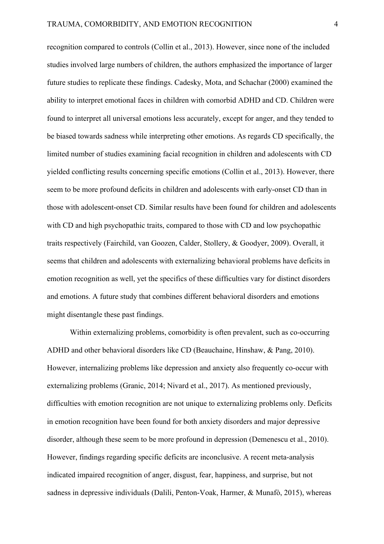recognition compared to controls (Collin et al., 2013). However, since none of the included studies involved large numbers of children, the authors emphasized the importance of larger future studies to replicate these findings. Cadesky, Mota, and Schachar (2000) examined the ability to interpret emotional faces in children with comorbid ADHD and CD. Children were found to interpret all universal emotions less accurately, except for anger, and they tended to be biased towards sadness while interpreting other emotions. As regards CD specifically, the limited number of studies examining facial recognition in children and adolescents with CD yielded conflicting results concerning specific emotions (Collin et al., 2013). However, there seem to be more profound deficits in children and adolescents with early-onset CD than in those with adolescent-onset CD. Similar results have been found for children and adolescents with CD and high psychopathic traits, compared to those with CD and low psychopathic traits respectively (Fairchild, van Goozen, Calder, Stollery, & Goodyer, 2009). Overall, it seems that children and adolescents with externalizing behavioral problems have deficits in emotion recognition as well, yet the specifics of these difficulties vary for distinct disorders and emotions. A future study that combines different behavioral disorders and emotions might disentangle these past findings.

Within externalizing problems, comorbidity is often prevalent, such as co-occurring ADHD and other behavioral disorders like CD (Beauchaine, Hinshaw, & Pang, 2010). However, internalizing problems like depression and anxiety also frequently co-occur with externalizing problems (Granic, 2014; Nivard et al., 2017). As mentioned previously, difficulties with emotion recognition are not unique to externalizing problems only. Deficits in emotion recognition have been found for both anxiety disorders and major depressive disorder, although these seem to be more profound in depression (Demenescu et al., 2010). However, findings regarding specific deficits are inconclusive. A recent meta-analysis indicated impaired recognition of anger, disgust, fear, happiness, and surprise, but not sadness in depressive individuals (Dalili, Penton-Voak, Harmer, & Munafò, 2015), whereas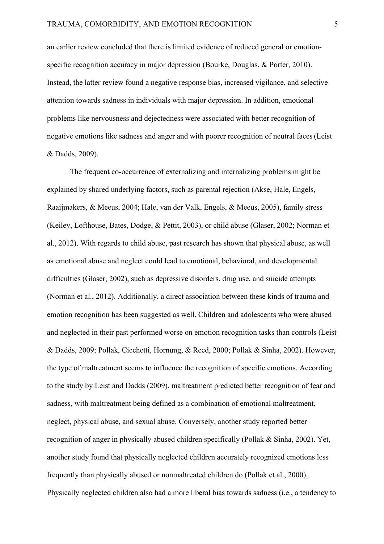an earlier review concluded that there is limited evidence of reduced general or emotionspecific recognition accuracy in major depression (Bourke, Douglas, & Porter, 2010). Instead, the latter review found a negative response bias, increased vigilance, and selective attention towards sadness in individuals with major depression. In addition, emotional problems like nervousness and dejectedness were associated with better recognition of negative emotions like sadness and anger and with poorer recognition of neutral faces(Leist & Dadds, 2009).

The frequent co-occurrence of externalizing and internalizing problems might be explained by shared underlying factors, such as parental rejection (Akse, Hale, Engels, Raaijmakers, & Meeus, 2004; Hale, van der Valk, Engels, & Meeus, 2005), family stress (Keiley, Lofthouse, Bates, Dodge, & Pettit, 2003), or child abuse (Glaser, 2002; Norman et al., 2012). With regards to child abuse, past research has shown that physical abuse, as well as emotional abuse and neglect could lead to emotional, behavioral, and developmental difficulties (Glaser, 2002), such as depressive disorders, drug use, and suicide attempts (Norman et al., 2012). Additionally, a direct association between these kinds of trauma and emotion recognition has been suggested as well. Children and adolescents who were abused and neglected in their past performed worse on emotion recognition tasks than controls (Leist & Dadds, 2009; Pollak, Cicchetti, Hornung, & Reed, 2000; Pollak & Sinha, 2002). However, the type of maltreatment seems to influence the recognition of specific emotions. According to the study by Leist and Dadds (2009), maltreatment predicted better recognition of fear and sadness, with maltreatment being defined as a combination of emotional maltreatment, neglect, physical abuse, and sexual abuse. Conversely, another study reported better recognition of anger in physically abused children specifically (Pollak & Sinha, 2002). Yet, another study found that physically neglected children accurately recognized emotions less frequently than physically abused or nonmaltreated children do (Pollak et al., 2000). Physically neglected children also had a more liberal bias towards sadness (i.e., a tendency to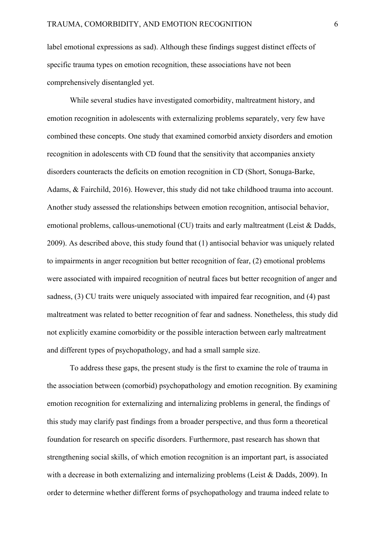label emotional expressions as sad). Although these findings suggest distinct effects of specific trauma types on emotion recognition, these associations have not been comprehensively disentangled yet.

While several studies have investigated comorbidity, maltreatment history, and emotion recognition in adolescents with externalizing problems separately, very few have combined these concepts. One study that examined comorbid anxiety disorders and emotion recognition in adolescents with CD found that the sensitivity that accompanies anxiety disorders counteracts the deficits on emotion recognition in CD (Short, Sonuga-Barke, Adams, & Fairchild, 2016). However, this study did not take childhood trauma into account. Another study assessed the relationships between emotion recognition, antisocial behavior, emotional problems, callous-unemotional (CU) traits and early maltreatment (Leist & Dadds, 2009). As described above, this study found that (1) antisocial behavior was uniquely related to impairments in anger recognition but better recognition of fear, (2) emotional problems were associated with impaired recognition of neutral faces but better recognition of anger and sadness, (3) CU traits were uniquely associated with impaired fear recognition, and (4) past maltreatment was related to better recognition of fear and sadness. Nonetheless, this study did not explicitly examine comorbidity or the possible interaction between early maltreatment and different types of psychopathology, and had a small sample size.

To address these gaps, the present study is the first to examine the role of trauma in the association between (comorbid) psychopathology and emotion recognition. By examining emotion recognition for externalizing and internalizing problems in general, the findings of this study may clarify past findings from a broader perspective, and thus form a theoretical foundation for research on specific disorders. Furthermore, past research has shown that strengthening social skills, of which emotion recognition is an important part, is associated with a decrease in both externalizing and internalizing problems (Leist & Dadds, 2009). In order to determine whether different forms of psychopathology and trauma indeed relate to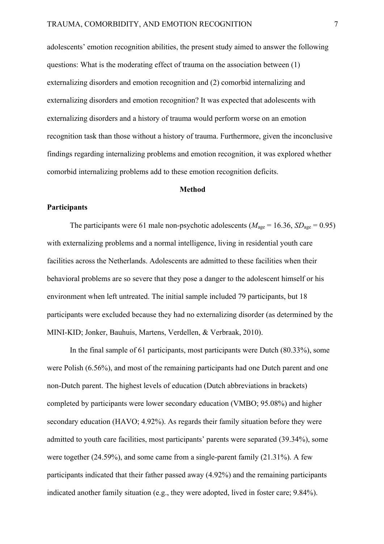adolescents' emotion recognition abilities, the present study aimed to answer the following questions: What is the moderating effect of trauma on the association between (1) externalizing disorders and emotion recognition and (2) comorbid internalizing and externalizing disorders and emotion recognition? It was expected that adolescents with externalizing disorders and a history of trauma would perform worse on an emotion recognition task than those without a history of trauma. Furthermore, given the inconclusive findings regarding internalizing problems and emotion recognition, it was explored whether comorbid internalizing problems add to these emotion recognition deficits.

## **Method**

#### **Participants**

The participants were 61 male non-psychotic adolescents ( $M_{\text{age}} = 16.36$ ,  $SD_{\text{age}} = 0.95$ ) with externalizing problems and a normal intelligence, living in residential youth care facilities across the Netherlands. Adolescents are admitted to these facilities when their behavioral problems are so severe that they pose a danger to the adolescent himself or his environment when left untreated. The initial sample included 79 participants, but 18 participants were excluded because they had no externalizing disorder (as determined by the MINI-KID; Jonker, Bauhuis, Martens, Verdellen, & Verbraak, 2010).

In the final sample of 61 participants, most participants were Dutch (80.33%), some were Polish (6.56%), and most of the remaining participants had one Dutch parent and one non-Dutch parent. The highest levels of education (Dutch abbreviations in brackets) completed by participants were lower secondary education (VMBO; 95.08%) and higher secondary education (HAVO; 4.92%). As regards their family situation before they were admitted to youth care facilities, most participants' parents were separated (39.34%), some were together (24.59%), and some came from a single-parent family (21.31%). A few participants indicated that their father passed away (4.92%) and the remaining participants indicated another family situation (e.g., they were adopted, lived in foster care; 9.84%).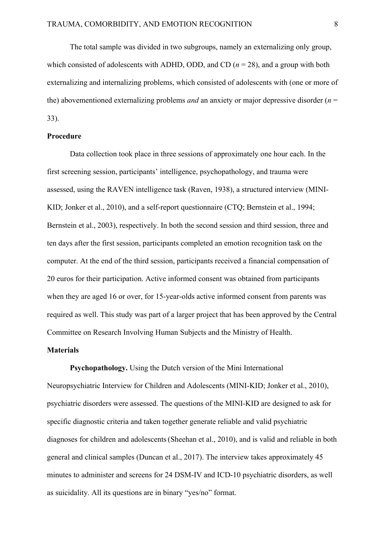The total sample was divided in two subgroups, namely an externalizing only group, which consisted of adolescents with ADHD, ODD, and CD  $(n = 28)$ , and a group with both externalizing and internalizing problems, which consisted of adolescents with (one or more of the) abovementioned externalizing problems *and* an anxiety or major depressive disorder (*n* = 33).

#### **Procedure**

Data collection took place in three sessions of approximately one hour each. In the first screening session, participants' intelligence, psychopathology, and trauma were assessed, using the RAVEN intelligence task (Raven, 1938), a structured interview (MINI-KID; Jonker et al., 2010), and a self-report questionnaire (CTQ; Bernstein et al., 1994; Bernstein et al., 2003), respectively. In both the second session and third session, three and ten days after the first session, participants completed an emotion recognition task on the computer. At the end of the third session, participants received a financial compensation of 20 euros for their participation. Active informed consent was obtained from participants when they are aged 16 or over, for 15-year-olds active informed consent from parents was required as well. This study was part of a larger project that has been approved by the Central Committee on Research Involving Human Subjects and the Ministry of Health.

# **Materials**

**Psychopathology.** Using the Dutch version of the Mini International Neuropsychiatric Interview for Children and Adolescents (MINI-KID; Jonker et al., 2010), psychiatric disorders were assessed. The questions of the MINI-KID are designed to ask for specific diagnostic criteria and taken together generate reliable and valid psychiatric diagnoses for children and adolescents(Sheehan et al., 2010), and is valid and reliable in both general and clinical samples (Duncan et al., 2017). The interview takes approximately 45 minutes to administer and screens for 24 DSM-IV and ICD-10 psychiatric disorders, as well as suicidality. All its questions are in binary "yes/no" format.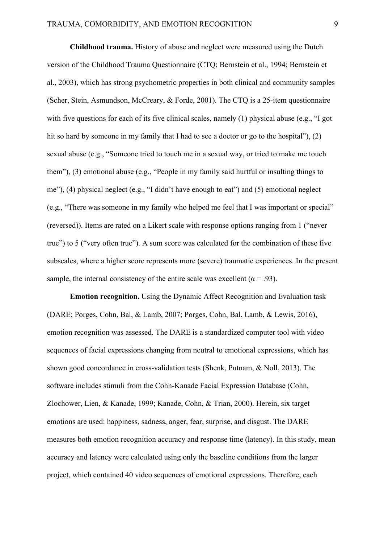**Childhood trauma.** History of abuse and neglect were measured using the Dutch version of the Childhood Trauma Questionnaire (CTQ; Bernstein et al., 1994; Bernstein et al., 2003), which has strong psychometric properties in both clinical and community samples (Scher, Stein, Asmundson, McCreary, & Forde, 2001). The CTQ is a 25-item questionnaire with five questions for each of its five clinical scales, namely (1) physical abuse (e.g., "I got hit so hard by someone in my family that I had to see a doctor or go to the hospital"), (2) sexual abuse (e.g., "Someone tried to touch me in a sexual way, or tried to make me touch them"), (3) emotional abuse (e.g., "People in my family said hurtful or insulting things to me"), (4) physical neglect (e.g., "I didn't have enough to eat") and (5) emotional neglect (e.g., "There was someone in my family who helped me feel that I was important or special" (reversed)). Items are rated on a Likert scale with response options ranging from 1 ("never true") to 5 ("very often true"). A sum score was calculated for the combination of these five subscales, where a higher score represents more (severe) traumatic experiences. In the present sample, the internal consistency of the entire scale was excellent ( $\alpha$  = .93).

**Emotion recognition.** Using the Dynamic Affect Recognition and Evaluation task (DARE; Porges, Cohn, Bal, & Lamb, 2007; Porges, Cohn, Bal, Lamb, & Lewis, 2016), emotion recognition was assessed. The DARE is a standardized computer tool with video sequences of facial expressions changing from neutral to emotional expressions, which has shown good concordance in cross-validation tests (Shenk, Putnam, & Noll, 2013). The software includes stimuli from the Cohn-Kanade Facial Expression Database (Cohn, Zlochower, Lien, & Kanade, 1999; Kanade, Cohn, & Trian, 2000). Herein, six target emotions are used: happiness, sadness, anger, fear, surprise, and disgust. The DARE measures both emotion recognition accuracy and response time (latency). In this study, mean accuracy and latency were calculated using only the baseline conditions from the larger project, which contained 40 video sequences of emotional expressions. Therefore, each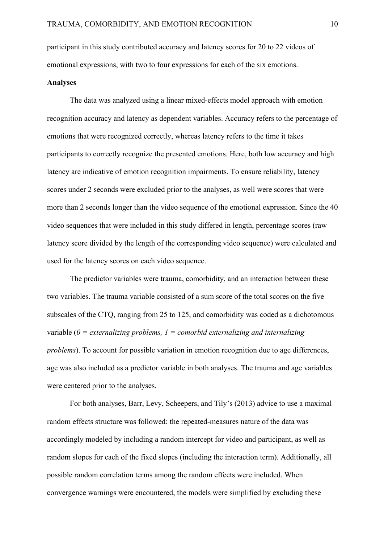participant in this study contributed accuracy and latency scores for 20 to 22 videos of emotional expressions, with two to four expressions for each of the six emotions.

# **Analyses**

The data was analyzed using a linear mixed-effects model approach with emotion recognition accuracy and latency as dependent variables. Accuracy refers to the percentage of emotions that were recognized correctly, whereas latency refers to the time it takes participants to correctly recognize the presented emotions. Here, both low accuracy and high latency are indicative of emotion recognition impairments. To ensure reliability, latency scores under 2 seconds were excluded prior to the analyses, as well were scores that were more than 2 seconds longer than the video sequence of the emotional expression. Since the 40 video sequences that were included in this study differed in length, percentage scores (raw latency score divided by the length of the corresponding video sequence) were calculated and used for the latency scores on each video sequence.

The predictor variables were trauma, comorbidity, and an interaction between these two variables. The trauma variable consisted of a sum score of the total scores on the five subscales of the CTQ, ranging from 25 to 125, and comorbidity was coded as a dichotomous variable (*0 = externalizing problems, 1 = comorbid externalizing and internalizing problems*). To account for possible variation in emotion recognition due to age differences, age was also included as a predictor variable in both analyses. The trauma and age variables were centered prior to the analyses.

For both analyses, Barr, Levy, Scheepers, and Tily's (2013) advice to use a maximal random effects structure was followed: the repeated-measures nature of the data was accordingly modeled by including a random intercept for video and participant, as well as random slopes for each of the fixed slopes (including the interaction term). Additionally, all possible random correlation terms among the random effects were included. When convergence warnings were encountered, the models were simplified by excluding these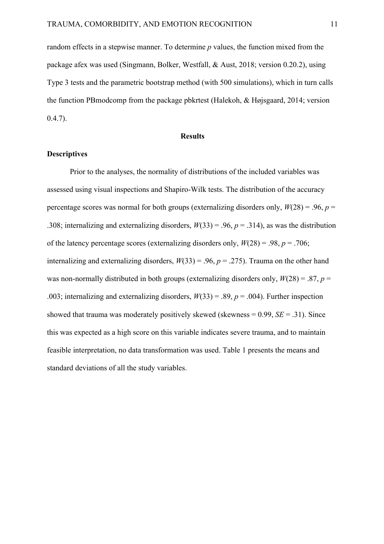random effects in a stepwise manner. To determine *p* values, the function mixed from the package afex was used (Singmann, Bolker, Westfall, & Aust, 2018; version 0.20.2), using Type 3 tests and the parametric bootstrap method (with 500 simulations), which in turn calls the function PBmodcomp from the package pbkrtest (Halekoh, & Højsgaard, 2014; version  $(0.4.7)$ .

#### **Results**

## **Descriptives**

Prior to the analyses, the normality of distributions of the included variables was assessed using visual inspections and Shapiro-Wilk tests. The distribution of the accuracy percentage scores was normal for both groups (externalizing disorders only,  $W(28) = .96$ ,  $p =$ .308; internalizing and externalizing disorders,  $W(33) = .96$ ,  $p = .314$ ), as was the distribution of the latency percentage scores (externalizing disorders only, *W*(28) = .98, *p* = .706; internalizing and externalizing disorders,  $W(33) = .96$ ,  $p = .275$ ). Trauma on the other hand was non-normally distributed in both groups (externalizing disorders only, *W*(28) = .87, *p* = .003; internalizing and externalizing disorders,  $W(33) = .89$ ,  $p = .004$ ). Further inspection showed that trauma was moderately positively skewed (skewness  $= 0.99$ ,  $SE = .31$ ). Since this was expected as a high score on this variable indicates severe trauma, and to maintain feasible interpretation, no data transformation was used. Table 1 presents the means and standard deviations of all the study variables.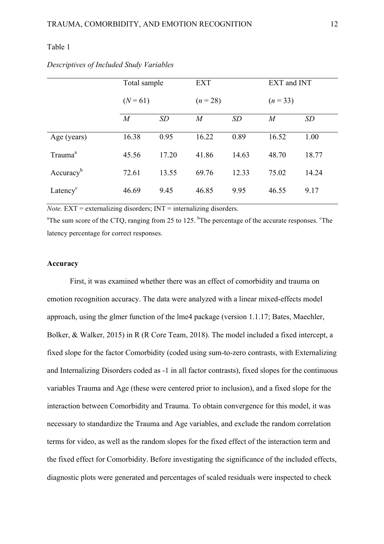## Table 1

|                       | Total sample<br>$(N=61)$ |       | <b>EXT</b>     |       | EXT and INT    |           |  |
|-----------------------|--------------------------|-------|----------------|-------|----------------|-----------|--|
|                       |                          |       | $(n = 28)$     |       | $(n=33)$       |           |  |
|                       | $\boldsymbol{M}$         | SD    | $\overline{M}$ | SD    | $\overline{M}$ | <b>SD</b> |  |
| Age (years)           | 16.38                    | 0.95  | 16.22          | 0.89  | 16.52          | 1.00      |  |
| Trauma <sup>a</sup>   | 45.56                    | 17.20 | 41.86          | 14.63 | 48.70          | 18.77     |  |
| Accuracy <sup>b</sup> | 72.61                    | 13.55 | 69.76          | 12.33 | 75.02          | 14.24     |  |
| Latency <sup>c</sup>  | 46.69                    | 9.45  | 46.85          | 9.95  | 46.55          | 9.17      |  |

*Descriptives of Included Study Variables*

 $Note.  $EXT = externalizing$  disorders;  $INT = internalizing$  disorders.$ 

<sup>a</sup>The sum score of the CTQ, ranging from 25 to 125. <sup>b</sup>The percentage of the accurate responses. <sup>c</sup>The latency percentage for correct responses.

## **Accuracy**

First, it was examined whether there was an effect of comorbidity and trauma on emotion recognition accuracy. The data were analyzed with a linear mixed-effects model approach, using the glmer function of the lme4 package (version 1.1.17; Bates, Maechler, Bolker, & Walker, 2015) in R (R Core Team, 2018). The model included a fixed intercept, a fixed slope for the factor Comorbidity (coded using sum-to-zero contrasts, with Externalizing and Internalizing Disorders coded as -1 in all factor contrasts), fixed slopes for the continuous variables Trauma and Age (these were centered prior to inclusion), and a fixed slope for the interaction between Comorbidity and Trauma. To obtain convergence for this model, it was necessary to standardize the Trauma and Age variables, and exclude the random correlation terms for video, as well as the random slopes for the fixed effect of the interaction term and the fixed effect for Comorbidity. Before investigating the significance of the included effects, diagnostic plots were generated and percentages of scaled residuals were inspected to check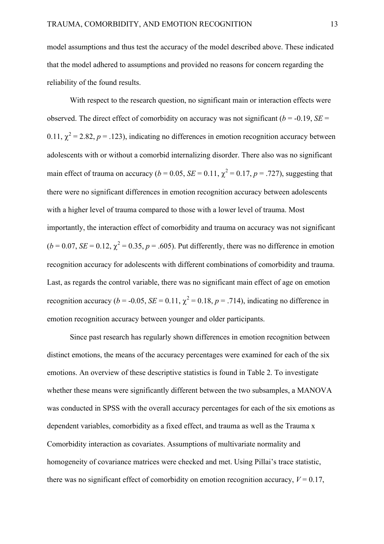model assumptions and thus test the accuracy of the model described above. These indicated that the model adhered to assumptions and provided no reasons for concern regarding the reliability of the found results.

With respect to the research question, no significant main or interaction effects were observed. The direct effect of comorbidity on accuracy was not significant ( $b = -0.19$ , *SE* = 0.11,  $\chi^2$  = 2.82, *p* = .123), indicating no differences in emotion recognition accuracy between adolescents with or without a comorbid internalizing disorder. There also was no significant main effect of trauma on accuracy ( $b = 0.05$ ,  $SE = 0.11$ ,  $\chi^2 = 0.17$ ,  $p = .727$ ), suggesting that there were no significant differences in emotion recognition accuracy between adolescents with a higher level of trauma compared to those with a lower level of trauma. Most importantly, the interaction effect of comorbidity and trauma on accuracy was not significant  $(b = 0.07, SE = 0.12, \chi^2 = 0.35, p = .605)$ . Put differently, there was no difference in emotion recognition accuracy for adolescents with different combinations of comorbidity and trauma. Last, as regards the control variable, there was no significant main effect of age on emotion recognition accuracy ( $b = -0.05$ ,  $SE = 0.11$ ,  $\chi^2 = 0.18$ ,  $p = .714$ ), indicating no difference in emotion recognition accuracy between younger and older participants.

Since past research has regularly shown differences in emotion recognition between distinct emotions, the means of the accuracy percentages were examined for each of the six emotions. An overview of these descriptive statistics is found in Table 2. To investigate whether these means were significantly different between the two subsamples, a MANOVA was conducted in SPSS with the overall accuracy percentages for each of the six emotions as dependent variables, comorbidity as a fixed effect, and trauma as well as the Trauma x Comorbidity interaction as covariates. Assumptions of multivariate normality and homogeneity of covariance matrices were checked and met. Using Pillai's trace statistic, there was no significant effect of comorbidity on emotion recognition accuracy,  $V = 0.17$ ,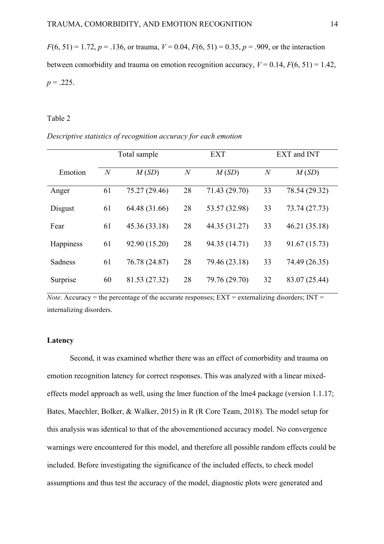$F(6, 51) = 1.72$ ,  $p = .136$ , or trauma,  $V = 0.04$ ,  $F(6, 51) = 0.35$ ,  $p = .909$ , or the interaction between comorbidity and trauma on emotion recognition accuracy,  $V = 0.14$ ,  $F(6, 51) = 1.42$ ,  $p = 0.225$ .

### Table 2

|  | Descriptive statistics of recognition accuracy for each emotion |  |  |
|--|-----------------------------------------------------------------|--|--|
|  |                                                                 |  |  |

|           | Total sample   |               |                  | <b>EXT</b>    | EXT and INT    |               |  |
|-----------|----------------|---------------|------------------|---------------|----------------|---------------|--|
| Emotion   | $\overline{N}$ | M(SD)         | $\boldsymbol{N}$ | M(SD)         | $\overline{N}$ | M(SD)         |  |
| Anger     | 61             | 75.27 (29.46) | 28               | 71.43 (29.70) | 33             | 78.54 (29.32) |  |
| Disgust   | 61             | 64.48 (31.66) | 28               | 53.57 (32.98) | 33             | 73.74 (27.73) |  |
| Fear      | 61             | 45.36 (33.18) | 28               | 44.35 (31.27) | 33             | 46.21 (35.18) |  |
| Happiness | 61             | 92.90 (15.20) | 28               | 94.35 (14.71) | 33             | 91.67 (15.73) |  |
| Sadness   | 61             | 76.78 (24.87) | 28               | 79.46 (23.18) | 33             | 74.49 (26.35) |  |
| Surprise  | 60             | 81.53 (27.32) | 28               | 79.76 (29.70) | 32             | 83.07 (25.44) |  |

*Note.* Accuracy = the percentage of the accurate responses;  $EXT$  = externalizing disorders;  $INT$  = internalizing disorders.

## **Latency**

Second, it was examined whether there was an effect of comorbidity and trauma on emotion recognition latency for correct responses. This was analyzed with a linear mixedeffects model approach as well, using the lmer function of the lme4 package (version 1.1.17; Bates, Maechler, Bolker, & Walker, 2015) in R (R Core Team, 2018). The model setup for this analysis was identical to that of the abovementioned accuracy model. No convergence warnings were encountered for this model, and therefore all possible random effects could be included. Before investigating the significance of the included effects, to check model assumptions and thus test the accuracy of the model, diagnostic plots were generated and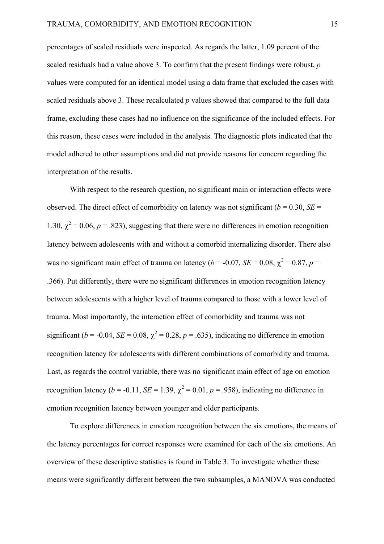percentages of scaled residuals were inspected. As regards the latter, 1.09 percent of the scaled residuals had a value above 3. To confirm that the present findings were robust, *p*  values were computed for an identical model using a data frame that excluded the cases with scaled residuals above 3. These recalculated *p* values showed that compared to the full data frame, excluding these cases had no influence on the significance of the included effects. For this reason, these cases were included in the analysis. The diagnostic plots indicated that the model adhered to other assumptions and did not provide reasons for concern regarding the interpretation of the results.

With respect to the research question, no significant main or interaction effects were observed. The direct effect of comorbidity on latency was not significant ( $b = 0.30$ , *SE* = 1.30,  $\chi^2$  = 0.06, *p* = .823), suggesting that there were no differences in emotion recognition latency between adolescents with and without a comorbid internalizing disorder. There also was no significant main effect of trauma on latency ( $b = -0.07$ ,  $SE = 0.08$ ,  $\chi^2 = 0.87$ ,  $p =$ .366). Put differently, there were no significant differences in emotion recognition latency between adolescents with a higher level of trauma compared to those with a lower level of trauma. Most importantly, the interaction effect of comorbidity and trauma was not significant ( $b = -0.04$ ,  $SE = 0.08$ ,  $\chi^2 = 0.28$ ,  $p = .635$ ), indicating no difference in emotion recognition latency for adolescents with different combinations of comorbidity and trauma. Last, as regards the control variable, there was no significant main effect of age on emotion recognition latency ( $b = -0.11$ ,  $SE = 1.39$ ,  $\chi^2 = 0.01$ ,  $p = .958$ ), indicating no difference in emotion recognition latency between younger and older participants.

To explore differences in emotion recognition between the six emotions, the means of the latency percentages for correct responses were examined for each of the six emotions. An overview of these descriptive statistics is found in Table 3. To investigate whether these means were significantly different between the two subsamples, a MANOVA was conducted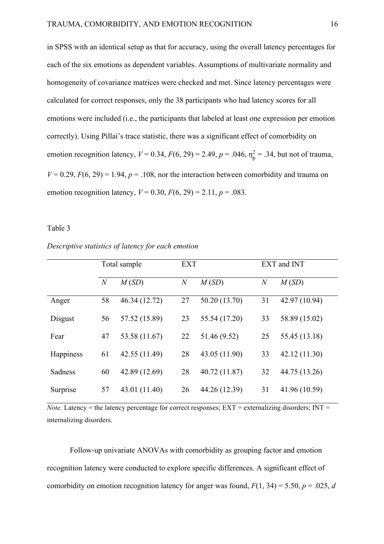in SPSS with an identical setup as that for accuracy, using the overall latency percentages for each of the six emotions as dependent variables. Assumptions of multivariate normality and homogeneity of covariance matrices were checked and met. Since latency percentages were calculated for correct responses, only the 38 participants who had latency scores for all emotions were included (i.e., the participants that labeled at least one expression per emotion correctly). Using Pillai's trace statistic, there was a significant effect of comorbidity on emotion recognition latency,  $V = 0.34$ ,  $F(6, 29) = 2.49$ ,  $p = .046$ ,  $\eta_p^2 = .34$ , but not of trauma,  $V = 0.29$ ,  $F(6, 29) = 1.94$ ,  $p = 0.108$ , nor the interaction between comorbidity and trauma on emotion recognition latency,  $V = 0.30$ ,  $F(6, 29) = 2.11$ ,  $p = .083$ .

#### Table 3

| Descriptive statistics of latency for each emotion |  |
|----------------------------------------------------|--|
|                                                    |  |

|           | Total sample   |               | <b>EXT</b>       |               | EXT and INT    |               |  |
|-----------|----------------|---------------|------------------|---------------|----------------|---------------|--|
|           | $\overline{N}$ | M(SD)         | $\boldsymbol{N}$ | M(SD)         | $\overline{N}$ | M(SD)         |  |
| Anger     | 58             | 46.34 (12.72) | 27               | 50.20 (13.70) | 31             | 42.97 (10.94) |  |
| Disgust   | 56             | 57.52 (15.89) | 23               | 55.54 (17.20) | 33             | 58.89 (15.02) |  |
| Fear      | 47             | 53.58 (11.67) | 22               | 51.46 (9.52)  | 25             | 55.45 (13.18) |  |
| Happiness | 61             | 42.55 (11.49) | 28               | 43.05 (11.90) | 33             | 42.12 (11.30) |  |
| Sadness   | 60             | 42.89 (12.69) | 28               | 40.72 (11.87) | 32             | 44.75 (13.26) |  |
| Surprise  | 57             | 43.01 (11.40) | 26               | 44.26 (12.39) | 31             | 41.96 (10.59) |  |

*Note.* Latency = the latency percentage for correct responses;  $EXT$  = externalizing disorders;  $INT$  = internalizing disorders.

Follow-up univariate ANOVAs with comorbidity as grouping factor and emotion recognition latency were conducted to explore specific differences. A significant effect of comorbidity on emotion recognition latency for anger was found,  $F(1, 34) = 5.50$ ,  $p = .025$ , *d*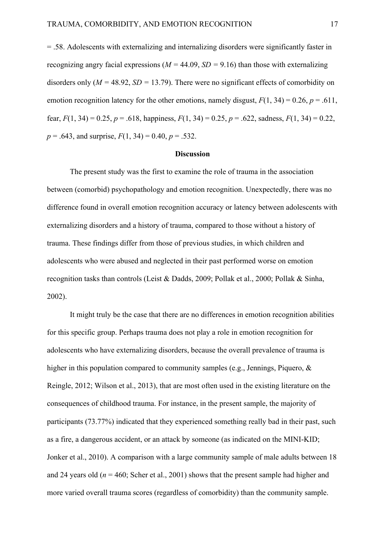= .58. Adolescents with externalizing and internalizing disorders were significantly faster in recognizing angry facial expressions ( $M = 44.09$ ,  $SD = 9.16$ ) than those with externalizing disorders only  $(M = 48.92, SD = 13.79)$ . There were no significant effects of comorbidity on emotion recognition latency for the other emotions, namely disgust,  $F(1, 34) = 0.26$ ,  $p = .611$ , fear,  $F(1, 34) = 0.25$ ,  $p = .618$ , happiness,  $F(1, 34) = 0.25$ ,  $p = .622$ , sadness,  $F(1, 34) = 0.22$ ,  $p = .643$ , and surprise,  $F(1, 34) = 0.40$ ,  $p = .532$ .

## **Discussion**

The present study was the first to examine the role of trauma in the association between (comorbid) psychopathology and emotion recognition. Unexpectedly, there was no difference found in overall emotion recognition accuracy or latency between adolescents with externalizing disorders and a history of trauma, compared to those without a history of trauma. These findings differ from those of previous studies, in which children and adolescents who were abused and neglected in their past performed worse on emotion recognition tasks than controls (Leist & Dadds, 2009; Pollak et al., 2000; Pollak & Sinha, 2002).

It might truly be the case that there are no differences in emotion recognition abilities for this specific group. Perhaps trauma does not play a role in emotion recognition for adolescents who have externalizing disorders, because the overall prevalence of trauma is higher in this population compared to community samples (e.g., Jennings, Piquero, & Reingle, 2012; Wilson et al., 2013), that are most often used in the existing literature on the consequences of childhood trauma. For instance, in the present sample, the majority of participants (73.77%) indicated that they experienced something really bad in their past, such as a fire, a dangerous accident, or an attack by someone (as indicated on the MINI-KID; Jonker et al., 2010). A comparison with a large community sample of male adults between 18 and 24 years old ( $n = 460$ ; Scher et al., 2001) shows that the present sample had higher and more varied overall trauma scores (regardless of comorbidity) than the community sample.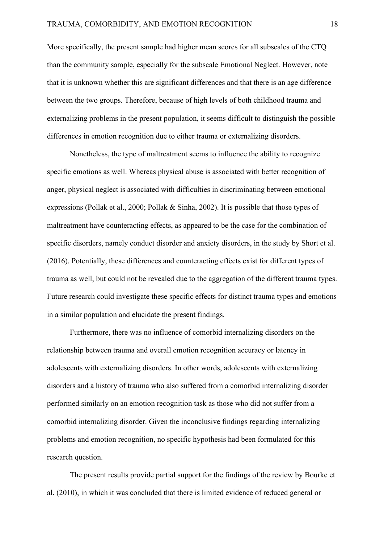More specifically, the present sample had higher mean scores for all subscales of the CTQ than the community sample, especially for the subscale Emotional Neglect. However, note that it is unknown whether this are significant differences and that there is an age difference between the two groups. Therefore, because of high levels of both childhood trauma and externalizing problems in the present population, it seems difficult to distinguish the possible differences in emotion recognition due to either trauma or externalizing disorders.

Nonetheless, the type of maltreatment seems to influence the ability to recognize specific emotions as well. Whereas physical abuse is associated with better recognition of anger, physical neglect is associated with difficulties in discriminating between emotional expressions (Pollak et al., 2000; Pollak & Sinha, 2002). It is possible that those types of maltreatment have counteracting effects, as appeared to be the case for the combination of specific disorders, namely conduct disorder and anxiety disorders, in the study by Short et al. (2016). Potentially, these differences and counteracting effects exist for different types of trauma as well, but could not be revealed due to the aggregation of the different trauma types. Future research could investigate these specific effects for distinct trauma types and emotions in a similar population and elucidate the present findings.

Furthermore, there was no influence of comorbid internalizing disorders on the relationship between trauma and overall emotion recognition accuracy or latency in adolescents with externalizing disorders. In other words, adolescents with externalizing disorders and a history of trauma who also suffered from a comorbid internalizing disorder performed similarly on an emotion recognition task as those who did not suffer from a comorbid internalizing disorder. Given the inconclusive findings regarding internalizing problems and emotion recognition, no specific hypothesis had been formulated for this research question.

The present results provide partial support for the findings of the review by Bourke et al. (2010), in which it was concluded that there is limited evidence of reduced general or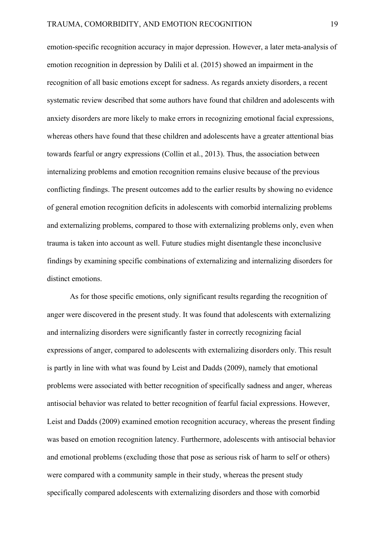emotion-specific recognition accuracy in major depression. However, a later meta-analysis of emotion recognition in depression by Dalili et al. (2015) showed an impairment in the recognition of all basic emotions except for sadness. As regards anxiety disorders, a recent systematic review described that some authors have found that children and adolescents with anxiety disorders are more likely to make errors in recognizing emotional facial expressions, whereas others have found that these children and adolescents have a greater attentional bias towards fearful or angry expressions (Collin et al., 2013). Thus, the association between internalizing problems and emotion recognition remains elusive because of the previous conflicting findings. The present outcomes add to the earlier results by showing no evidence of general emotion recognition deficits in adolescents with comorbid internalizing problems and externalizing problems, compared to those with externalizing problems only, even when trauma is taken into account as well. Future studies might disentangle these inconclusive findings by examining specific combinations of externalizing and internalizing disorders for distinct emotions.

As for those specific emotions, only significant results regarding the recognition of anger were discovered in the present study. It was found that adolescents with externalizing and internalizing disorders were significantly faster in correctly recognizing facial expressions of anger, compared to adolescents with externalizing disorders only. This result is partly in line with what was found by Leist and Dadds (2009), namely that emotional problems were associated with better recognition of specifically sadness and anger, whereas antisocial behavior was related to better recognition of fearful facial expressions. However, Leist and Dadds (2009) examined emotion recognition accuracy, whereas the present finding was based on emotion recognition latency. Furthermore, adolescents with antisocial behavior and emotional problems (excluding those that pose as serious risk of harm to self or others) were compared with a community sample in their study, whereas the present study specifically compared adolescents with externalizing disorders and those with comorbid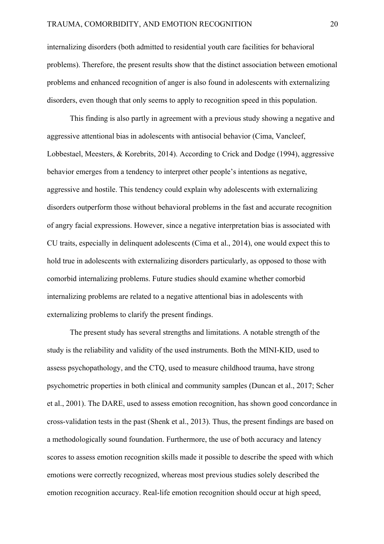internalizing disorders (both admitted to residential youth care facilities for behavioral problems). Therefore, the present results show that the distinct association between emotional problems and enhanced recognition of anger is also found in adolescents with externalizing disorders, even though that only seems to apply to recognition speed in this population.

This finding is also partly in agreement with a previous study showing a negative and aggressive attentional bias in adolescents with antisocial behavior (Cima, Vancleef, Lobbestael, Meesters, & Korebrits, 2014). According to Crick and Dodge (1994), aggressive behavior emerges from a tendency to interpret other people's intentions as negative, aggressive and hostile. This tendency could explain why adolescents with externalizing disorders outperform those without behavioral problems in the fast and accurate recognition of angry facial expressions. However, since a negative interpretation bias is associated with CU traits, especially in delinquent adolescents (Cima et al., 2014), one would expect this to hold true in adolescents with externalizing disorders particularly, as opposed to those with comorbid internalizing problems. Future studies should examine whether comorbid internalizing problems are related to a negative attentional bias in adolescents with externalizing problems to clarify the present findings.

The present study has several strengths and limitations. A notable strength of the study is the reliability and validity of the used instruments. Both the MINI-KID, used to assess psychopathology, and the CTQ, used to measure childhood trauma, have strong psychometric properties in both clinical and community samples (Duncan et al., 2017; Scher et al., 2001). The DARE, used to assess emotion recognition, has shown good concordance in cross-validation tests in the past (Shenk et al., 2013). Thus, the present findings are based on a methodologically sound foundation. Furthermore, the use of both accuracy and latency scores to assess emotion recognition skills made it possible to describe the speed with which emotions were correctly recognized, whereas most previous studies solely described the emotion recognition accuracy. Real-life emotion recognition should occur at high speed,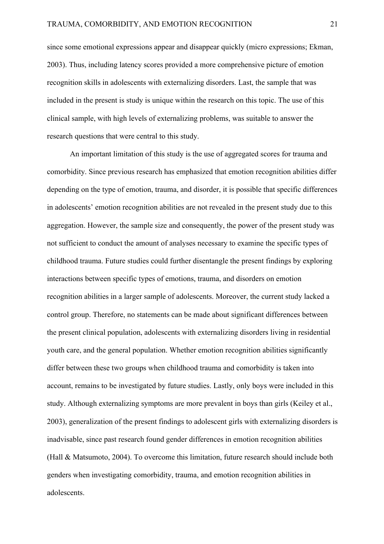since some emotional expressions appear and disappear quickly (micro expressions; Ekman, 2003). Thus, including latency scores provided a more comprehensive picture of emotion recognition skills in adolescents with externalizing disorders. Last, the sample that was included in the present is study is unique within the research on this topic. The use of this clinical sample, with high levels of externalizing problems, was suitable to answer the research questions that were central to this study.

An important limitation of this study is the use of aggregated scores for trauma and comorbidity. Since previous research has emphasized that emotion recognition abilities differ depending on the type of emotion, trauma, and disorder, it is possible that specific differences in adolescents' emotion recognition abilities are not revealed in the present study due to this aggregation. However, the sample size and consequently, the power of the present study was not sufficient to conduct the amount of analyses necessary to examine the specific types of childhood trauma. Future studies could further disentangle the present findings by exploring interactions between specific types of emotions, trauma, and disorders on emotion recognition abilities in a larger sample of adolescents. Moreover, the current study lacked a control group. Therefore, no statements can be made about significant differences between the present clinical population, adolescents with externalizing disorders living in residential youth care, and the general population. Whether emotion recognition abilities significantly differ between these two groups when childhood trauma and comorbidity is taken into account, remains to be investigated by future studies. Lastly, only boys were included in this study. Although externalizing symptoms are more prevalent in boys than girls (Keiley et al., 2003), generalization of the present findings to adolescent girls with externalizing disorders is inadvisable, since past research found gender differences in emotion recognition abilities (Hall & Matsumoto, 2004). To overcome this limitation, future research should include both genders when investigating comorbidity, trauma, and emotion recognition abilities in adolescents.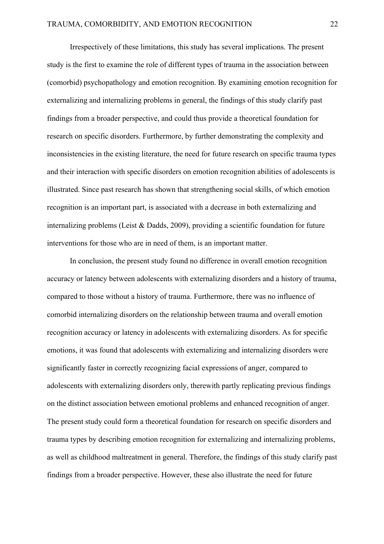Irrespectively of these limitations, this study has several implications. The present study is the first to examine the role of different types of trauma in the association between (comorbid) psychopathology and emotion recognition. By examining emotion recognition for externalizing and internalizing problems in general, the findings of this study clarify past findings from a broader perspective, and could thus provide a theoretical foundation for research on specific disorders. Furthermore, by further demonstrating the complexity and inconsistencies in the existing literature, the need for future research on specific trauma types and their interaction with specific disorders on emotion recognition abilities of adolescents is illustrated. Since past research has shown that strengthening social skills, of which emotion recognition is an important part, is associated with a decrease in both externalizing and internalizing problems (Leist & Dadds, 2009), providing a scientific foundation for future interventions for those who are in need of them, is an important matter.

In conclusion, the present study found no difference in overall emotion recognition accuracy or latency between adolescents with externalizing disorders and a history of trauma, compared to those without a history of trauma. Furthermore, there was no influence of comorbid internalizing disorders on the relationship between trauma and overall emotion recognition accuracy or latency in adolescents with externalizing disorders. As for specific emotions, it was found that adolescents with externalizing and internalizing disorders were significantly faster in correctly recognizing facial expressions of anger, compared to adolescents with externalizing disorders only, therewith partly replicating previous findings on the distinct association between emotional problems and enhanced recognition of anger. The present study could form a theoretical foundation for research on specific disorders and trauma types by describing emotion recognition for externalizing and internalizing problems, as well as childhood maltreatment in general. Therefore, the findings of this study clarify past findings from a broader perspective. However, these also illustrate the need for future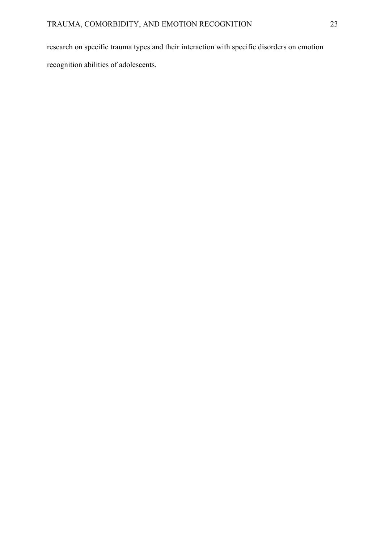research on specific trauma types and their interaction with specific disorders on emotion recognition abilities of adolescents.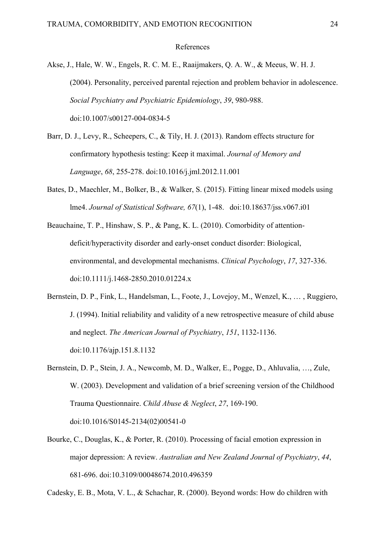## References

- Akse, J., Hale, W. W., Engels, R. C. M. E., Raaijmakers, Q. A. W., & Meeus, W. H. J. (2004). Personality, perceived parental rejection and problem behavior in adolescence. *Social Psychiatry and Psychiatric Epidemiology*, *39*, 980-988. doi:10.1007/s00127-004-0834-5
- Barr, D. J., Levy, R., Scheepers, C., & Tily, H. J. (2013). Random effects structure for confirmatory hypothesis testing: Keep it maximal. *Journal of Memory and Language*, *68*, 255-278. doi:10.1016/j.jml.2012.11.001
- Bates, D., Maechler, M., Bolker, B., & Walker, S. (2015). Fitting linear mixed models using lme4. *Journal of Statistical Software, 67*(1), 1-48. doi:10.18637/jss.v067.i01
- Beauchaine, T. P., Hinshaw, S. P., & Pang, K. L. (2010). Comorbidity of attentiondeficit/hyperactivity disorder and early-onset conduct disorder: Biological, environmental, and developmental mechanisms. *Clinical Psychology*, *17*, 327-336. doi:10.1111/j.1468-2850.2010.01224.x
- Bernstein, D. P., Fink, L., Handelsman, L., Foote, J., Lovejoy, M., Wenzel, K., … , Ruggiero, J. (1994). Initial reliability and validity of a new retrospective measure of child abuse and neglect. *The American Journal of Psychiatry*, *151*, 1132-1136. doi:10.1176/ajp.151.8.1132
- Bernstein, D. P., Stein, J. A., Newcomb, M. D., Walker, E., Pogge, D., Ahluvalia, …, Zule, W. (2003). Development and validation of a brief screening version of the Childhood Trauma Questionnaire. *Child Abuse & Neglect*, *27*, 169-190. doi:10.1016/S0145-2134(02)00541-0
- Bourke, C., Douglas, K., & Porter, R. (2010). Processing of facial emotion expression in major depression: A review. *Australian and New Zealand Journal of Psychiatry*, *44*, 681-696. doi:10.3109/00048674.2010.496359

Cadesky, E. B., Mota, V. L., & Schachar, R. (2000). Beyond words: How do children with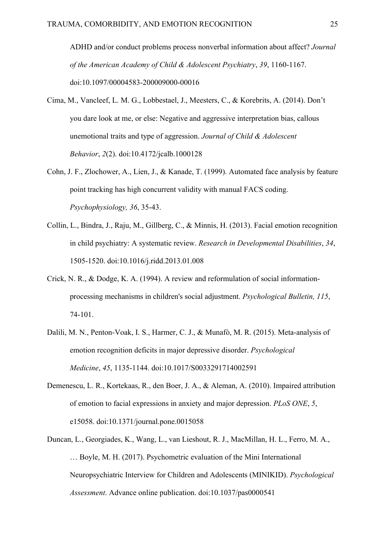ADHD and/or conduct problems process nonverbal information about affect? *Journal of the American Academy of Child & Adolescent Psychiatry*, *39*, 1160-1167. doi:10.1097/00004583-200009000-00016

- Cima, M., Vancleef, L. M. G., Lobbestael, J., Meesters, C., & Korebrits, A. (2014). Don't you dare look at me, or else: Negative and aggressive interpretation bias, callous unemotional traits and type of aggression. *Journal of Child & Adolescent Behavior*, *2*(2). doi:10.4172/jcalb.1000128
- Cohn, J. F., Zlochower, A., Lien, J., & Kanade, T. (1999). Automated face analysis by feature point tracking has high concurrent validity with manual FACS coding. *Psychophysiology, 36*, 35-43.
- Collin, L., Bindra, J., Raju, M., Gillberg, C., & Minnis, H. (2013). Facial emotion recognition in child psychiatry: A systematic review. *Research in Developmental Disabilities*, *34*, 1505-1520. doi:10.1016/j.ridd.2013.01.008
- Crick, N. R., & Dodge, K. A. (1994). A review and reformulation of social informationprocessing mechanisms in children's social adjustment. *Psychological Bulletin, 115*, 74-101.
- Dalili, M. N., Penton-Voak, I. S., Harmer, C. J., & Munafò, M. R. (2015). Meta-analysis of emotion recognition deficits in major depressive disorder. *Psychological Medicine*, *45*, 1135-1144. doi:10.1017/S0033291714002591
- Demenescu, L. R., Kortekaas, R., den Boer, J. A., & Aleman, A. (2010). Impaired attribution of emotion to facial expressions in anxiety and major depression. *PLoS ONE*, *5*, e15058. doi:10.1371/journal.pone.0015058
- Duncan, L., Georgiades, K., Wang, L., van Lieshout, R. J., MacMillan, H. L., Ferro, M. A., … Boyle, M. H. (2017). Psychometric evaluation of the Mini International Neuropsychiatric Interview for Children and Adolescents (MINIKID). *Psychological Assessment*. Advance online publication. doi:10.1037/pas0000541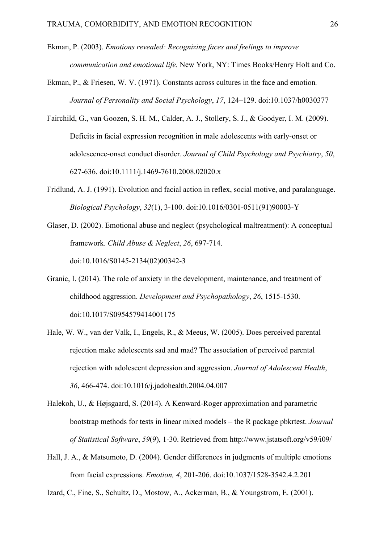- Ekman, P. (2003). *Emotions revealed: Recognizing faces and feelings to improve communication and emotional life.* New York, NY: Times Books/Henry Holt and Co.
- Ekman, P., & Friesen, W. V. (1971). Constants across cultures in the face and emotion*. Journal of Personality and Social Psychology*, *17*, 124–129. doi:10.1037/h0030377
- Fairchild, G., van Goozen, S. H. M., Calder, A. J., Stollery, S. J., & Goodyer, I. M. (2009). Deficits in facial expression recognition in male adolescents with early-onset or adolescence-onset conduct disorder. *Journal of Child Psychology and Psychiatry*, *50*, 627-636. doi:10.1111/j.1469-7610.2008.02020.x
- Fridlund, A. J. (1991). Evolution and facial action in reflex, social motive, and paralanguage. *Biological Psychology*, *32*(1), 3-100. doi:10.1016/0301-0511(91)90003-Y
- Glaser, D. (2002). Emotional abuse and neglect (psychological maltreatment): A conceptual framework. *Child Abuse & Neglect*, *26*, 697-714. doi:10.1016/S0145-2134(02)00342-3
- Granic, I. (2014). The role of anxiety in the development, maintenance, and treatment of childhood aggression. *Development and Psychopathology*, *26*, 1515-1530. doi:10.1017/S0954579414001175
- Hale, W. W., van der Valk, I., Engels, R., & Meeus, W. (2005). Does perceived parental rejection make adolescents sad and mad? The association of perceived parental rejection with adolescent depression and aggression. *Journal of Adolescent Health*, *36*, 466-474. doi:10.1016/j.jadohealth.2004.04.007
- Halekoh, U., & Højsgaard, S. (2014). A Kenward-Roger approximation and parametric bootstrap methods for tests in linear mixed models – the R package pbkrtest. *Journal of Statistical Software*, *59*(9), 1-30. Retrieved from http://www.jstatsoft.org/v59/i09/
- Hall, J. A., & Matsumoto, D. (2004). Gender differences in judgments of multiple emotions from facial expressions. *Emotion, 4*, 201-206. doi:10.1037/1528-3542.4.2.201

Izard, C., Fine, S., Schultz, D., Mostow, A., Ackerman, B., & Youngstrom, E. (2001).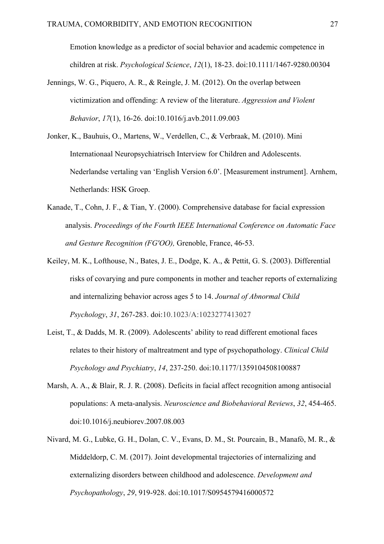Emotion knowledge as a predictor of social behavior and academic competence in children at risk. *Psychological Science*, *12*(1), 18-23. doi:10.1111/1467-9280.00304

- Jennings, W. G., Piquero, A. R., & Reingle, J. M. (2012). On the overlap between victimization and offending: A review of the literature. *Aggression and Violent Behavior*, *17*(1), 16-26. doi:10.1016/j.avb.2011.09.003
- Jonker, K., Bauhuis, O., Martens, W., Verdellen, C., & Verbraak, M. (2010). Mini Internationaal Neuropsychiatrisch Interview for Children and Adolescents. Nederlandse vertaling van 'English Version 6.0'. [Measurement instrument]. Arnhem, Netherlands: HSK Groep.
- Kanade, T., Cohn, J. F., & Tian, Y. (2000). Comprehensive database for facial expression analysis. *Proceedings of the Fourth IEEE International Conference on Automatic Face and Gesture Recognition (FG'OO),* Grenoble, France, 46-53.
- Keiley, M. K., Lofthouse, N., Bates, J. E., Dodge, K. A., & Pettit, G. S. (2003). Differential risks of covarying and pure components in mother and teacher reports of externalizing and internalizing behavior across ages 5 to 14. *Journal of Abnormal Child Psychology*, *31*, 267-283. doi:10.1023/A:1023277413027
- Leist, T., & Dadds, M. R. (2009). Adolescents' ability to read different emotional faces relates to their history of maltreatment and type of psychopathology. *Clinical Child Psychology and Psychiatry*, *14*, 237-250. doi:10.1177/1359104508100887
- Marsh, A. A., & Blair, R. J. R. (2008). Deficits in facial affect recognition among antisocial populations: A meta-analysis. *Neuroscience and Biobehavioral Reviews*, *32*, 454-465. doi:10.1016/j.neubiorev.2007.08.003
- Nivard, M. G., Lubke, G. H., Dolan, C. V., Evans, D. M., St. Pourcain, B., Manafò, M. R., & Middeldorp, C. M. (2017). Joint developmental trajectories of internalizing and externalizing disorders between childhood and adolescence. *Development and Psychopathology*, *29*, 919-928. doi:10.1017/S0954579416000572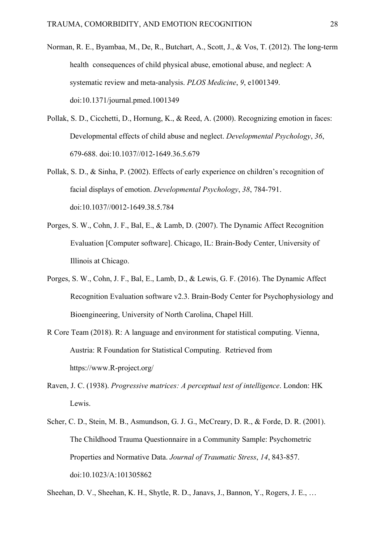- Norman, R. E., Byambaa, M., De, R., Butchart, A., Scott, J., & Vos, T. (2012). The long-term health consequences of child physical abuse, emotional abuse, and neglect: A systematic review and meta-analysis. *PLOS Medicine*, *9*, e1001349. doi:10.1371/journal.pmed.1001349
- Pollak, S. D., Cicchetti, D., Hornung, K., & Reed, A. (2000). Recognizing emotion in faces: Developmental effects of child abuse and neglect. *Developmental Psychology*, *36*, 679-688. doi:10.1037//012-1649.36.5.679
- Pollak, S. D., & Sinha, P. (2002). Effects of early experience on children's recognition of facial displays of emotion. *Developmental Psychology*, *38*, 784-791. doi:10.1037//0012-1649.38.5.784
- Porges, S. W., Cohn, J. F., Bal, E., & Lamb, D. (2007). The Dynamic Affect Recognition Evaluation [Computer software]. Chicago, IL: Brain-Body Center, University of Illinois at Chicago.
- Porges, S. W., Cohn, J. F., Bal, E., Lamb, D., & Lewis, G. F. (2016). The Dynamic Affect Recognition Evaluation software v2.3. Brain-Body Center for Psychophysiology and Bioengineering, University of North Carolina, Chapel Hill.
- R Core Team (2018). R: A language and environment for statistical computing. Vienna, Austria: R Foundation for Statistical Computing. Retrieved from https://www.R-project.org/
- Raven, J. C. (1938). *Progressive matrices: A perceptual test of intelligence*. London: HK Lewis.
- Scher, C. D., Stein, M. B., Asmundson, G. J. G., McCreary, D. R., & Forde, D. R. (2001). The Childhood Trauma Questionnaire in a Community Sample: Psychometric Properties and Normative Data. *Journal of Traumatic Stress*, *14*, 843-857. doi:10.1023/A:101305862

Sheehan, D. V., Sheehan, K. H., Shytle, R. D., Janavs, J., Bannon, Y., Rogers, J. E., …